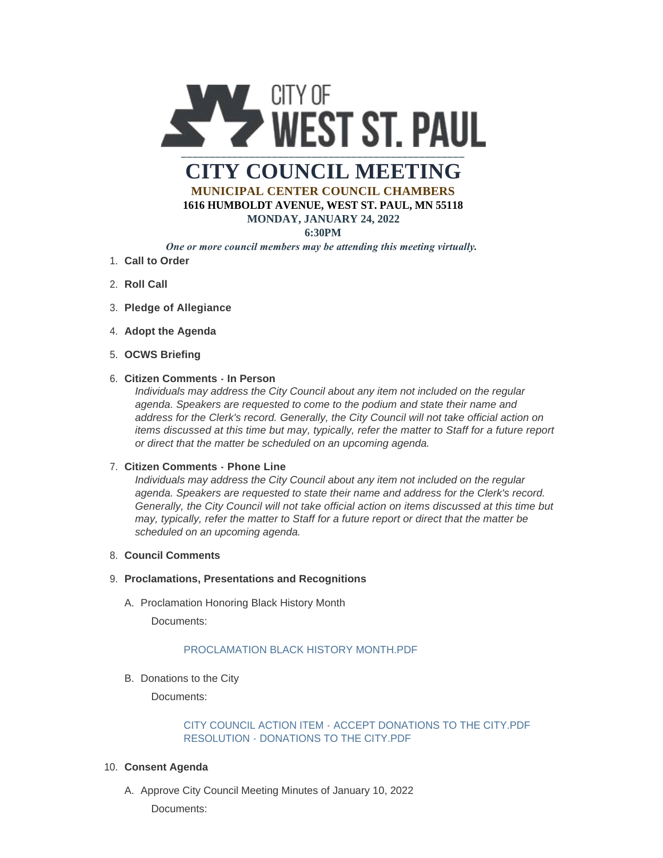

# **CITY COUNCIL MEETING MUNICIPAL CENTER COUNCIL CHAMBERS**

**1616 HUMBOLDT AVENUE, WEST ST. PAUL, MN 55118**

### **MONDAY, JANUARY 24, 2022**

**6:30PM**

# *One or more council members may be attending this meeting virtually.*

- **Call to Order** 1.
- 2. **Roll Call**
- **Pledge of Allegiance** 3.
- 4. Adopt the Agenda
- **OCWS Briefing** 5.

## **Citizen Comments - In Person** 6.

*Individuals may address the City Council about any item not included on the regular agenda. Speakers are requested to come to the podium and state their name and address for the Clerk's record. Generally, the City Council will not take official action on items discussed at this time but may, typically, refer the matter to Staff for a future report or direct that the matter be scheduled on an upcoming agenda.*

## **Citizen Comments - Phone Line** 7.

*Individuals may address the City Council about any item not included on the regular agenda. Speakers are requested to state their name and address for the Clerk's record. Generally, the City Council will not take official action on items discussed at this time but may, typically, refer the matter to Staff for a future report or direct that the matter be scheduled on an upcoming agenda.*

## **Council Comments** 8.

## **Proclamations, Presentations and Recognitions** 9.

A. Proclamation Honoring Black History Month

Documents:

# [PROCLAMATION BLACK HISTORY MONTH.PDF](https://www.wspmn.gov/AgendaCenter/ViewFile/Item/12433?fileID=19413)

B. Donations to the City

Documents:

## [CITY COUNCIL ACTION ITEM - ACCEPT DONATIONS TO THE CITY.PDF](https://www.wspmn.gov/AgendaCenter/ViewFile/Item/12415?fileID=19410) [RESOLUTION - DONATIONS TO THE CITY.PDF](https://www.wspmn.gov/AgendaCenter/ViewFile/Item/12415?fileID=19411)

#### **Consent Agenda** 10.

A. Approve City Council Meeting Minutes of January 10, 2022 Documents: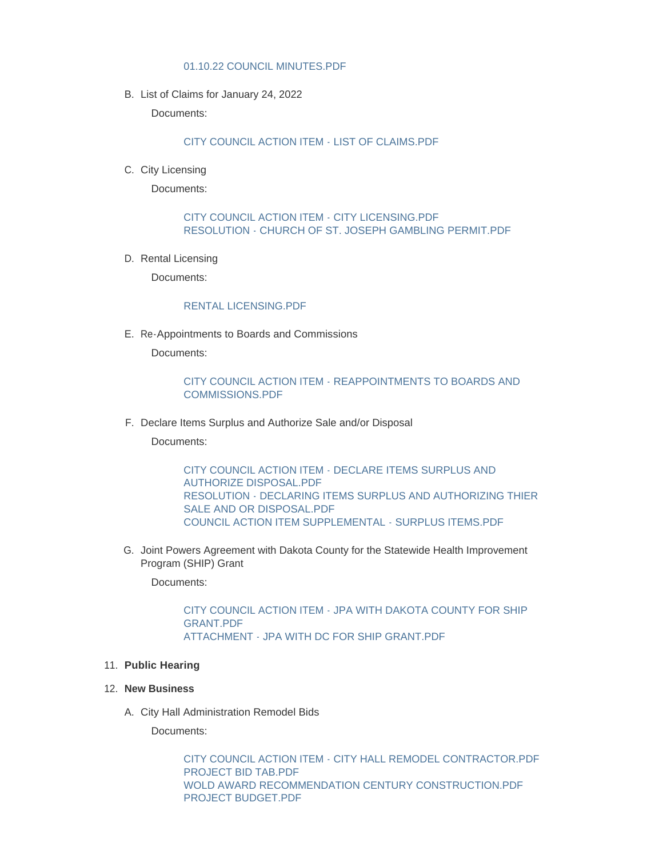#### [01.10.22 COUNCIL MINUTES.PDF](https://www.wspmn.gov/AgendaCenter/ViewFile/Item/12443?fileID=19421)

B. List of Claims for January 24, 2022

Documents:

#### [CITY COUNCIL ACTION ITEM - LIST OF CLAIMS.PDF](https://www.wspmn.gov/AgendaCenter/ViewFile/Item/12448?fileID=19454)

C. City Licensing

Documents:

## [CITY COUNCIL ACTION ITEM - CITY LICENSING.PDF](https://www.wspmn.gov/AgendaCenter/ViewFile/Item/12432?fileID=19445) [RESOLUTION - CHURCH OF ST. JOSEPH GAMBLING PERMIT.PDF](https://www.wspmn.gov/AgendaCenter/ViewFile/Item/12432?fileID=19415)

D. Rental Licensing

Documents:

#### [RENTAL LICENSING.PDF](https://www.wspmn.gov/AgendaCenter/ViewFile/Item/12439?fileID=19416)

E. Re-Appointments to Boards and Commissions

Documents:

## [CITY COUNCIL ACTION ITEM - REAPPOINTMENTS TO BOARDS AND](https://www.wspmn.gov/AgendaCenter/ViewFile/Item/12444?fileID=19451)  COMMISSIONS.PDF

F. Declare Items Surplus and Authorize Sale and/or Disposal

Documents:

[CITY COUNCIL ACTION ITEM - DECLARE ITEMS SURPLUS AND](https://www.wspmn.gov/AgendaCenter/ViewFile/Item/12417?fileID=19407)  AUTHORIZE DISPOSAL.PDF [RESOLUTION - DECLARING ITEMS SURPLUS AND AUTHORIZING THIER](https://www.wspmn.gov/AgendaCenter/ViewFile/Item/12417?fileID=19409)  SALE AND OR DISPOSAL.PDF [COUNCIL ACTION ITEM SUPPLEMENTAL - SURPLUS ITEMS.PDF](https://www.wspmn.gov/AgendaCenter/ViewFile/Item/12417?fileID=19447)

G. Joint Powers Agreement with Dakota County for the Statewide Health Improvement Program (SHIP) Grant

Documents:

[CITY COUNCIL ACTION ITEM - JPA WITH DAKOTA COUNTY FOR SHIP](https://www.wspmn.gov/AgendaCenter/ViewFile/Item/12438?fileID=19419)  GRANT.PDF [ATTACHMENT - JPA WITH DC FOR SHIP GRANT.PDF](https://www.wspmn.gov/AgendaCenter/ViewFile/Item/12438?fileID=19420)

#### **Public Hearing** 11.

#### **New Business** 12.

City Hall Administration Remodel Bids A.

Documents:

[CITY COUNCIL ACTION ITEM - CITY HALL REMODEL CONTRACTOR.PDF](https://www.wspmn.gov/AgendaCenter/ViewFile/Item/12270?fileID=19464) [PROJECT BID TAB.PDF](https://www.wspmn.gov/AgendaCenter/ViewFile/Item/12270?fileID=19465) [WOLD AWARD RECOMMENDATION CENTURY CONSTRUCTION.PDF](https://www.wspmn.gov/AgendaCenter/ViewFile/Item/12270?fileID=19466) [PROJECT BUDGET.PDF](https://www.wspmn.gov/AgendaCenter/ViewFile/Item/12270?fileID=19471)